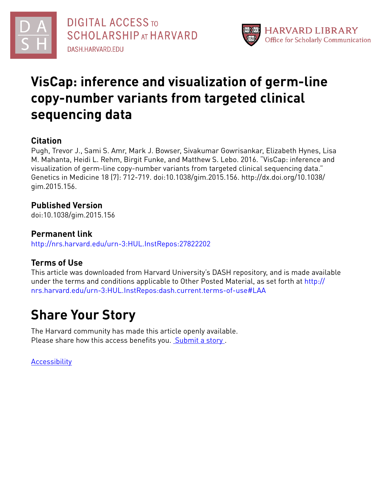



# **VisCap: inference and visualization of germ-line copy-number variants from targeted clinical sequencing data**

### **Citation**

Pugh, Trevor J., Sami S. Amr, Mark J. Bowser, Sivakumar Gowrisankar, Elizabeth Hynes, Lisa M. Mahanta, Heidi L. Rehm, Birgit Funke, and Matthew S. Lebo. 2016. "VisCap: inference and visualization of germ-line copy-number variants from targeted clinical sequencing data." Genetics in Medicine 18 (7): 712-719. doi:10.1038/gim.2015.156. http://dx.doi.org/10.1038/ gim.2015.156.

### **Published Version**

doi:10.1038/gim.2015.156

### **Permanent link**

<http://nrs.harvard.edu/urn-3:HUL.InstRepos:27822202>

### **Terms of Use**

This article was downloaded from Harvard University's DASH repository, and is made available under the terms and conditions applicable to Other Posted Material, as set forth at [http://](http://nrs.harvard.edu/urn-3:HUL.InstRepos:dash.current.terms-of-use#LAA) [nrs.harvard.edu/urn-3:HUL.InstRepos:dash.current.terms-of-use#LAA](http://nrs.harvard.edu/urn-3:HUL.InstRepos:dash.current.terms-of-use#LAA)

# **Share Your Story**

The Harvard community has made this article openly available. Please share how this access benefits you. [Submit](http://osc.hul.harvard.edu/dash/open-access-feedback?handle=&title=VisCap:%20inference%20and%20visualization%20of%20germ-line%20copy-number%20variants%20from%20targeted%20clinical%20sequencing%20data&community=1/4454685&collection=1/4454686&owningCollection1/4454686&harvardAuthors=40cd81fcfda775dcbe2d1bc7d9ff5161&department) a story.

**[Accessibility](https://dash.harvard.edu/pages/accessibility)**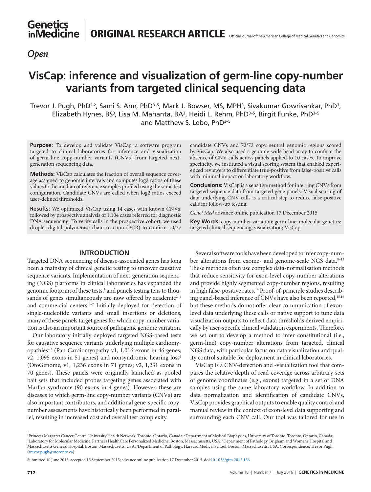### *Open*

## **VisCap: inference and visualization of germ-line copy-number variants from targeted clinical sequencing data**

Trevor J. Pugh, PhD1,2, Sami S. Amr, PhD<sup>3–5</sup>, Mark J. Bowser, MS, MPH<sup>3</sup>, Sivakumar Gowrisankar, PhD<sup>3</sup>, Elizabeth Hynes, BS<sup>3</sup>, Lisa M. Mahanta, BA<sup>3</sup>, Heidi L. Rehm, PhD<sup>3-5</sup>, Birgit Funke, PhD<sup>3-5</sup> and Matthew S. Lebo, PhD<sup>3-5</sup>

**Purpose:** To develop and validate VisCap, a software program targeted to clinical laboratories for inference and visualization of germ-line copy-number variants (CNVs) from targeted nextgeneration sequencing data.

**Methods:** VisCap calculates the fraction of overall sequence coverage assigned to genomic intervals and computes log2 ratios of these values to the median of reference samples profiled using the same test configuration. Candidate CNVs are called when log2 ratios exceed user-defined thresholds.

**Results:** We optimized VisCap using 14 cases with known CNVs, followed by prospective analysis of 1,104 cases referred for diagnostic DNA sequencing. To verify calls in the prospective cohort, we used droplet digital polymerase chain reaction (PCR) to confirm 10/27

candidate CNVs and 72/72 copy-neutral genomic regions scored by VisCap. We also used a genome-wide bead array to confirm the absence of CNV calls across panels applied to 10 cases. To improve specificity, we instituted a visual scoring system that enabled experienced reviewers to differentiate true-positive from false-positive calls with minimal impact on laboratory workflow.

**Conclusions:** VisCap is a sensitive method for inferring CNVs from targeted sequence data from targeted gene panels. Visual scoring of data underlying CNV calls is a critical step to reduce false-positive calls for follow-up testing.

*Genet Med* advance online publication 17 December 2015

**Key Words:** copy-number variation; germ-line; molecular genetics; targeted clinical sequencing; visualization; VisCap

#### **INTRODUCTION**

Targeted DNA sequencing of disease-associated genes has long been a mainstay of clinical genetic testing to uncover causative sequence variants. Implementation of next-generation sequencing (NGS) platforms in clinical laboratories has expanded the genomic footprint of these tests,<sup>1</sup> and panels testing tens to thousands of genes simultaneously are now offered by academic<sup>2-4</sup> and commercial centers.<sup>5-7</sup> Initially deployed for detection of single-nucleotide variants and small insertions or deletions, many of these panels target genes for which copy-number variation is also an important source of pathogenic genome variation.

Our laboratory initially deployed targeted NGS-based tests for causative sequence variants underlying multiple cardiomyopathies<sup>2,3</sup> (Pan Cardiomyopathy v1, 1,016 exons in 46 genes; v2, 1,095 exons in 51 genes) and nonsyndromic hearing loss<sup>4</sup> (OtoGenome, v1, 1,236 exons in 71 genes; v2, 1,231 exons in 70 genes). These panels were originally launched as pooled bait sets that included probes targeting genes associated with Marfan syndrome (90 exons in 4 genes). However, these are diseases to which germ-line copy-number variants (CNVs) are also important contributors, and additional gene-specific copynumber assessments have historically been performed in parallel, resulting in increased cost and overall test complexity.

Several software tools have been developed to infer copy-number alterations from exome- and genome-scale NGS data.<sup>8-13</sup> These methods often use complex data-normalization methods that reduce sensitivity for exon-level copy-number alterations and provide highly segmented copy-number regions, resulting in high false-positive rates.<sup>14</sup> Proof-of-principle studies describing panel-based inference of CNVs have also been reported,<sup>15,16</sup> but these methods do not offer clear communication of exonlevel data underlying these calls or native support to tune data visualization outputs to reflect data thresholds derived empirically by user-specific clinical validation experiments. Therefore, we set out to develop a method to infer constitutional (i.e., germ-line) copy-number alterations from targeted, clinical NGS data, with particular focus on data visualization and quality control suitable for deployment in clinical laboratories.

VisCap is a CNV-detection and -visualization tool that compares the relative depth of read coverage across arbitrary sets of genome coordinates (e.g., exons) targeted in a set of DNA samples using the same laboratory workflow. In addition to data normalization and identification of candidate CNVs, VisCap provides graphical outputs to enable quality control and manual review in the context of exon-level data supporting and surrounding each CNV call. Our tool was tailored for use in

Submitted 10 June 2015; accepted 15 September 2015; advance online publication 17 December 2015. doi[:10.1038/gim.2015.156](http://www.nature.com/doifinder/10.1038/gim.2015.156)

<sup>&</sup>lt;sup>1</sup> Princess Margaret Cancer Centre, University Health Network, Toronto, Ontario, Canada; <sup>2</sup>Department of Medical Biophysics, University of Toronto, Ontorio, Ontario, Canada;<br><sup>3</sup>I aboratory for Molecular Medicine, Partner Laboratory for Molecular Medicine, Partners HealthCare Personalized Medicine, Boston, Massachusetts, USA; <sup>4</sup> Department of Pathology, Brigham and Women's Hospital and Massachusetts General Hospital, Boston, Massachusetts, USA; 5 Department of Pathology, Harvard Medical School, Boston, Massachusetts, USA. Correspondence: Trevor Pugh [\(trevor.pugh@utoronto.ca](mailto:trevor.pugh@utoronto.ca))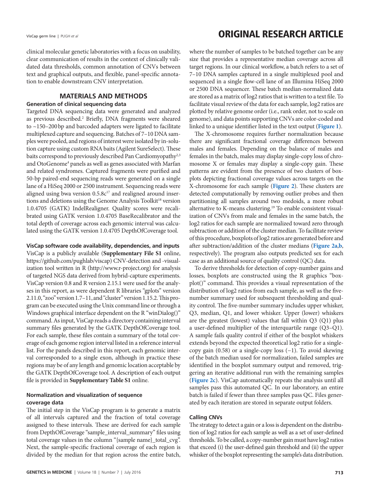clinical molecular genetic laboratories with a focus on usability, clear communication of results in the context of clinically validated data thresholds, common annotation of CNVs between text and graphical outputs, and flexible, panel-specific annotation to enable downstream CNV interpretation.

### **MATERIALS AND METHODS**

#### **Generation of clinical sequencing data**

Targeted DNA sequencing data were generated and analyzed as previous described.<sup>2</sup> Briefly, DNA fragments were sheared to ~150–200bp and barcoded adapters were ligated to facilitate multiplexed capture and sequencing. Batches of 7–10 DNA samples were pooled, and regions of interest were isolated by in-solution capture using custom RNA baits (Agilent SureSelect). These baits correspond to previously described Pan Cardiomyopathy<sup>2,3</sup> and OtoGenome<sup>4</sup> panels as well as genes associated with Marfan and related syndromes. Captured fragments were purified and 50-bp paired-end sequencing reads were generated on a single lane of a HiSeq 2000 or 2500 instrument. Sequencing reads were aligned using bwa version  $0.5.8c^{17}$  and realigned around insertions and deletions using the Genome Analysis Toolkit<sup>18</sup> version 1.0.4705 (GATK) IndelRealigner. Quality scores were recalibrated using GATK version 1.0.4705 BaseRecalibrator and the total depth of coverage across each genomic interval was calculated using the GATK version 1.0.4705 DepthOfCoverage tool.

**VisCap software code availability, dependencies, and inputs** VisCap is a publicly available (**Supplementary File S1** online, [https://github.com/pughlab/viscap\)](https://github.com/pughlab/viscap) CNV-detection and -visualization tool written in R [\(http://www.r-project.org](http://www.r-project.org)) for analysis of targeted NGS data derived from hybrid-capture experiments. VisCap version 0.8 and R version 2.15.1 were used for the analyses in this report, as were dependent R libraries "gplots" version 2.11.0, "zoo" version 1.7–11, and "cluster" version 1.15.2. This program can be executed using the Unix command line or through a Windows graphical interface dependent on the R "winDialog()" command. As input, VisCap reads a directory containing interval summary files generated by the GATK DepthOfCoverage tool. For each sample, these files contain a summary of the total coverage of each genome region interval listed in a reference interval list. For the panels described in this report, each genomic interval corresponded to a single exon, although in practice these regions may be of any length and genomic location acceptable by the GATK DepthOfCoverage tool. A description of each output file is provided in **Supplementary Table S1** online.

### **Normalization and visualization of sequence coverage data**

The initial step in the VisCap program is to generate a matrix of all intervals captured and the fraction of total coverage assigned to these intervals. These are derived for each sample from DepthOfCoverage "sample\_interval\_summary" files using total coverage values in the column "{sample name}\_total\_cvg". Next, the sample-specific fractional coverage of each region is divided by the median for that region across the entire batch,

VisCap germ line | PUGH et al **ORIGINAL RESEARCH ARTICLE** 

where the number of samples to be batched together can be any size that provides a representative median coverage across all target regions. In our clinical workflow, a batch refers to a set of 7–10 DNA samples captured in a single multiplexed pool and sequenced in a single flow-cell lane of an Illumina HiSeq 2000 or 2500 DNA sequencer. These batch median-normalized data are stored as a matrix of log2 ratios that is written to a text file. To facilitate visual review of the data for each sample, log2 ratios are plotted by relative genome order (i.e., rank order, not to scale on genome), and data points supporting CNVs are color-coded and linked to a unique identifier listed in the text output (**[Figure 1](#page-3-0)**).

The X-chromosome requires further normalization because there are significant fractional coverage differences between males and females. Depending on the balance of males and females in the batch, males may display single-copy loss of chromosome X or females may display a single-copy gain. These patterns are evident from the presence of two clusters of boxplots depicting fractional coverage values across targets on the X-chromosome for each sample (**[Figure 2](#page-4-0)**). These clusters are detected computationally by removing outlier probes and then partitioning all samples around two medoids, a more robust alternative to K-means clustering.19 To enable consistent visualization of CNVs from male and females in the same batch, the log2 ratios for each sample are normalized toward zero through subtraction or addition of the cluster median. To facilitate review of this procedure, boxplots of log2 ratios are generated before and after subtraction/addition of the cluster medians (**[Figure 2a](#page-4-0)**,**[b](#page-4-0)**, respectively). The program also outputs predicted sex for each case as an additional source of quality control (QC) data.

To derive thresholds for detection of copy-number gains and losses, boxplots are constructed using the R graphics "boxplot()" command. This provides a visual representation of the distribution of log2 ratios from each sample, as well as the fivenumber summary used for subsequent thresholding and quality control. The five-number summary includes upper whisker, Q3, median, Q1, and lower whisker. Upper (lower) whiskers are the greatest (lowest) values that fall within Q3 (Q1) plus a user-defined multiplier of the interquartile range (Q3–Q1). A sample fails quality control if either of the boxplot whiskers extends beyond the expected theoretical log2 ratio for a singlecopy gain (0.58) or a single-copy loss (−1). To avoid skewing of the batch median used for normalization, failed samples are identified in the boxplot summary output and removed, triggering an iterative additional run with the remaining samples (**[Figure 2c](#page-4-0)**). VisCap automatically repeats the analysis until all samples pass this automated QC. In our laboratory, an entire batch is failed if fewer than three samples pass QC. Files generated by each iteration are stored in separate output folders.

#### **Calling CNVs**

The strategy to detect a gain or a loss is dependent on the distribution of log2 ratios for each sample as well as a set of user-defined thresholds. To be called, a copy-number gain must have log2 ratios that exceed (i) the user-defined gain threshold and (ii) the upper whisker of the boxplot representing the sample's data distribution.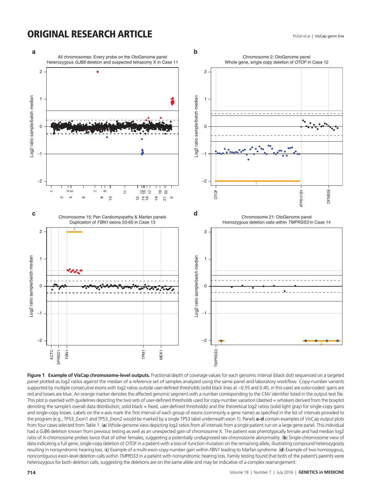### **ORIGINAL RESEARCH ARTICLE**

<span id="page-3-0"></span>

**Figure 1 Example of VisCap chromosome-level outputs.** Fractional depth of coverage values for each genomic interval (black dot) sequenced on a targeted panel plotted as log2 ratios against the median of a reference set of samples analyzed using the same panel and laboratory workflow. Copy-number variants supported by multiple consecutive exons with log2 ratios outside user-defined thresholds (solid black lines at -0.55 and 0.40, in this case) are color-coded: gains are red and losses are blue. An orange marker denotes the affected genomic segment with a number corresponding to the CNV identifier listed in the output text file. This plot is overlaid with quidelines depicting the two sets of user-defined thresholds used for copy-number variation (dashed = whiskers derived from the boxplot denoting the sample's overall data distribution; solid black = fixed, user-defined thresholds) and the theoretical log2 ratios (solid light gray) for single-copy gains and single-copy losses. Labels on the x-axis mark the first interval of each group of exons (commonly a gene name) as specified in the list of intervals provided to the program (e.g., TP53\_Exon1 and TP53\_Exon2 would be marked by a single TP53 label underneath exon 1). Panels **a–d** contain examples of VisCap output plots from four cases selected from Table 1. (**a**) Whole-genome view depicting log2 ratios from all intervals from a single patient run on a large gene panel. This individual had a GJB6 deletion known from previous testing as well as an unexpected gain of chromosome X. The patient was phenotypically female and had median log2 ratio of X-chromosome probes twice that of other females, suggesting a potentially undiagnosed sex chromosome abnormality. (**b**) Single-chromosome view of data indicating a full gene, single-copy deletion of *OTOF* in a patient with a loss-of-function mutation on the remaining allele, illustrating compound heterozygosity resulting in nonsyndromic hearing loss. (**c**) Example of a multi-exon copy-number gain within *FBN1* leading to Marfan syndrome. (**d**) Example of two homozygous, noncontiguous exon-level deletion calls within *TMPRSS3* in a patient with nonsyndromic hearing loss. Family testing found that both of the patient's parents were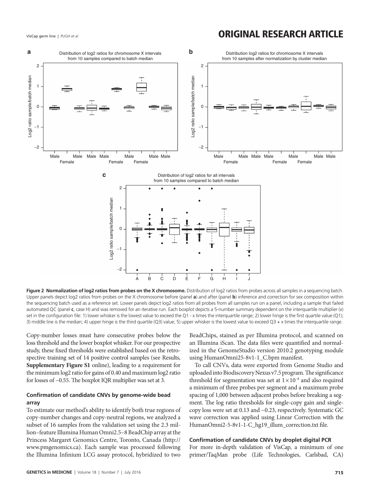### VisCap germ line | PUGH et al **ORIGINAL RESEARCH ARTICLE**

<span id="page-4-0"></span>

**Figure 2 Normalization of log2 ratios from probes on the X chromosome.** Distribution of log2 ratios from probes across all samples in a sequencing batch. Upper panels depict log2 ratios from probes on the X chromosome before (panel **a**) and after (panel **b**) inference and correction for sex composition within the sequencing batch used as a reference set. Lower panels depict log2 ratios from all probes from all samples run on a panel, including a sample that failed automated QC (panel **c**, case H) and was removed for an iterative run. Each boxplot depicts a 5-number summary dependent on the interquartile multiplier (x) set in the configuration file: 1) lower whisker is the lowest value to exceed the Q1 - x times the interquartile range; 2) lower hinge is the first quartile value (Q1); 3) middle line is the median; 4) upper hinge is the third quartile (Q3) value; 5) upper whisker is the lowest value to exceed Q3 + x times the interquartile range.

Copy-number losses must have consecutive probes below the loss threshold and the lower boxplot whisker. For our prospective study, these fixed thresholds were established based on the retrospective training set of 14 positive control samples (see Results, **Supplementary Figure S1** online), leading to a requirement for the minimum log2 ratio for gains of 0.40 and maximum log2 ratio for losses of −0.55. The boxplot IQR multiplier was set at 3.

### **Confirmation of candidate CNVs by genome-wide bead array**

To estimate our method's ability to identify both true regions of copy-number changes and copy-neutral regions, we analyzed a subset of 16 samples from the validation set using the 2.3 million–feature Illumina Human Omni2.5–8 BeadChip array at the Princess Margaret Genomics Centre, Toronto, Canada [\(http://](http://www.pmgenomics.ca) [www.pmgenomics.ca](http://www.pmgenomics.ca)). Each sample was processed following the Illumina Infinium LCG assay protocol, hybridized to two

BeadChips, stained as per Illumina protocol, and scanned on an Illumina iScan. The data files were quantified and normalized in the GenomeStudio version 2010.2 genotyping module using HumanOmni25-8v1-1\_C.bpm manifest.

To call CNVs, data were exported from Genome Studio and uploaded into Biodiscovery Nexus v7.5 program. The significance threshold for segmentation was set at 1×10−8 and also required a minimum of three probes per segment and a maximum probe spacing of 1,000 between adjacent probes before breaking a segment. The log ratio thresholds for single-copy gain and singlecopy loss were set at 0.13 and −0.23, respectively. Systematic GC wave correction was applied using Linear Correction with the HumanOmni2-5-8v1-1-C\_hg19\_illum\_correction.txt file.

### **Confirmation of candidate CNVs by droplet digital PCR**

For more in-depth validation of VisCap, a minimum of one primer/TaqMan probe (Life Technologies, Carlsbad, CA)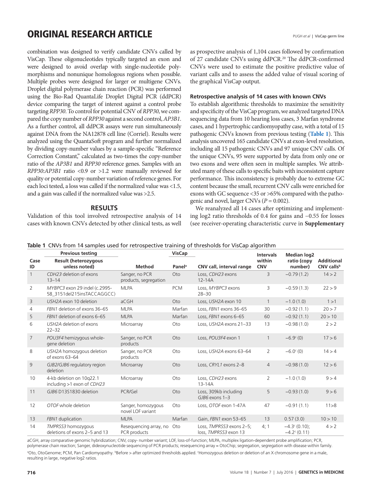### **ORIGINAL RESEARCH ARTICLE**

combination was designed to verify candidate CNVs called by VisCap. These oligonucleotides typically targeted an exon and were designed to avoid overlap with single-nucleotide polymorphisms and nonunique homologous regions when possible. Multiple probes were designed for larger or multigene CNVs. Droplet digital polymerase chain reaction (PCR) was performed using the Bio-Rad QuantaLife Droplet Digital PCR (ddPCR) device comparing the target of interest against a control probe targeting *RPP30*. To control for potential CNV of *RPP30*, we compared the copy number of *RPP30* against a second control, *AP3B1*. As a further control, all ddPCR assays were run simultaneously against DNA from the NA12878 cell line (Corriel). Results were analyzed using the QuantaSoft program and further normalized by dividing copy-number values by a sample-specific "Reference Correction Constant," calculated as two-times the copy-number ratio of the *AP3B1* and *RPP30* reference genes. Samples with an *RPP30:AP3B1* ratio <0.9 or >1.2 were manually reviewed for quality or potential copy-number variation of reference genes. For each loci tested, a loss was called if the normalized value was <1.5, and a gain was called if the normalized value was >2.5.

### **RESULTS**

Validation of this tool involved retrospective analysis of 14 cases with known CNVs detected by other clinical tests, as well as prospective analysis of 1,104 cases followed by confirmation of 27 candidate CNVs using ddPCR.20 The ddPCR-confirmed CNVs were used to estimate the positive predictive value of variant calls and to assess the added value of visual scoring of the graphical VisCap output.

#### **Retrospective analysis of 14 cases with known CNVs**

To establish algorithmic thresholds to maximize the sensitivity and specificity of the VisCap program, we analyzed targeted DNA sequencing data from 10 hearing loss cases, 3 Marfan syndrome cases, and 1 hypertrophic cardiomyopathy case, with a total of 15 pathogenic CNVs known from previous testing (**[Table 1](#page-5-0)**). This analysis uncovered 165 candidate CNVs at exon-level resolution, including all 15 pathogenic CNVs and 97 unique CNV calls. Of the unique CNVs, 95 were supported by data from only one or two exons and were often seen in multiple samples. We attributed many of these calls to specific baits with inconsistent capture performance. This inconsistency is probably due to extreme GC content because the small, recurrent CNV calls were enriched for exons with GC sequence <35 or >65% compared with the pathogenic and novel, larger CNVs (*P* = 0.002).

We reanalyzed all 14 cases after optimizing and implementing log2 ratio thresholds of 0.4 for gains and −0.55 for losses (see receiver-operating characteristic curve in **Supplementary** 

<span id="page-5-0"></span>

|  |  |  |  |  |  | Table 1 CNVs from 14 samples used for retrospective training of thresholds for VisCap algorithm |
|--|--|--|--|--|--|-------------------------------------------------------------------------------------------------|
|--|--|--|--|--|--|-------------------------------------------------------------------------------------------------|

|                 | <b>Previous testing</b>                                     |                                         | <b>VisCap</b>      |                                                   | <b>Intervals</b>     | <b>Median log2</b>                                   |                                 |
|-----------------|-------------------------------------------------------------|-----------------------------------------|--------------------|---------------------------------------------------|----------------------|------------------------------------------------------|---------------------------------|
| Case<br>ID      | Result (heterozygous<br>unless noted)                       | <b>Method</b>                           | Panel <sup>a</sup> | CNV call, interval range                          | within<br><b>CNV</b> | ratio (copy<br>number)                               | <b>Additional</b><br>CNV callsb |
| $\mathbf{1}$    | CDH23 deletion of exons<br>$13 - 14$                        | Sanger, no PCR<br>products, segregation | Oto                | Loss, CDH23 exons<br>$12 - 14A$                   | $\overline{3}$       | $-0.79(1.2)$                                         | 14 > 2                          |
| 2               | MYBPC3 exon 29 indel (c.2995-<br>58 3151del215insTACCAGGCC) | <b>MLPA</b>                             | <b>PCM</b>         | Loss, MYBPC3 exons<br>$28 - 30$                   | 3                    | $-0.59(1.3)$                                         | 22 > 9                          |
| 3               | USH2A exon 10 deletion                                      | aCGH                                    | Oto                | Loss, USH2A exon 10                               | $\mathbf{1}$         | $-1.0(1.0)$                                          | 1 > 1                           |
| 4               | FBN1 deletion of exons 36-65                                | <b>MLPA</b>                             | Marfan             | Loss, FBN1 exons 36-65                            | 30                   | $-0.92(1.1)$                                         | 20 > 7                          |
| 5               | FBN1 deletion of exons 6-65                                 | <b>MLPA</b>                             | Marfan             | Loss, FBN1 exons 6-65                             | 60                   | $-0.92(1.1)$                                         | 20 > 10                         |
| 6               | USH2A deletion of exons<br>$22 - 32$                        | Microarray                              | Oto                | Loss, USH2A exons 21-33                           | 13                   | $-0.98(1.0)$                                         | 2 > 2                           |
| $7\overline{ }$ | POU3F4 hemizygous whole-<br>gene deletion                   | Sanger, no PCR<br>products              | Oto                | Loss, POU3F4 exon 1                               |                      | $-6.9c(0)$                                           | 17 > 6                          |
| 8               | USH2A homozygous deletion<br>of exons 63-64                 | Sanger, no PCR<br>products              | Oto                | Loss, USH2A exons 63-64                           | $\overline{2}$       | $-6.0^{\circ}$ (0)                                   | 14 > 4                          |
| 9               | GJB2/GJB6 regulatory region<br>deletion                     | Microarray                              | Oto                | Loss, CRYL1 exons 2-8                             | $\overline{4}$       | $-0.98(1.0)$                                         | 12 > 6                          |
| 10              | 4-kb deletion on 10g22.1<br>including >1 exon of CDH23      | Microarray                              | Oto                | Loss, CDH23 exons<br>$13 - 14A$                   | $\overline{2}$       | $-1.0(1.0)$                                          | 9 > 4                           |
| 11              | GJB6 D13S1830 deletion                                      | PCR/Gel                                 | Oto                | Loss, 309kb including<br>$GJB6$ exons $1-3$       | 5                    | $-0.93(1.0)$                                         | 9 > 6                           |
| 12              | OTOF whole deletion                                         | Sanger, homozygous<br>novel LOF variant | Oto                | Loss, OTOF exon 1-47A                             | 47                   | $-0.91(1.1)$                                         | 11 > 8                          |
| 13              | FBN1 duplication                                            | <b>MLPA</b>                             | Marfan             | Gain, FBN1 exon 53-65                             | 13                   | 0.57(3.0)                                            | 10 > 10                         |
| 14              | TMPRSS3 homozygous<br>deletions of exons 2–5 and 13         | Reseguencing array, no<br>PCR products  | Oto                | Loss, TMPRSS3 exons 2-5;<br>loss. TMPRSS3 exon 13 | 4;1                  | $-4.3$ <sup>c</sup> (0.10);<br>$-4.2^{\circ}$ (0.11) | 4 > 2                           |

aCGH, array comparative genomic hybridization; CNV, copy- number variant; LOF, loss-of-function; MLPA, multiplex ligation-dependent probe amplification; PCR, polymerase chain reaction; Sanger, dideoxynucleotide sequencing of PCR products; resequencing array = OtoChip; segregation, segregation with disease within family. ªOto, OtoGenome; PCM, Pan Cardiomyopathy. ʰBefore > after optimized thresholds applied. ʿHomozygous deletion or deletion of an X chromosome gene in a male, resulting in large, negative log2 ratios.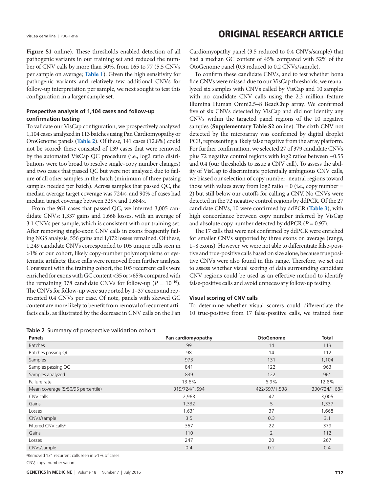### VisCap germ line | PUGH et al **ORIGINAL RESEARCH ARTICLE**

**Figure S1** online). These thresholds enabled detection of all pathogenic variants in our training set and reduced the number of CNV calls by more than 50%, from 165 to 77 (5.5 CNVs per sample on average; **[Table 1](#page-5-0)**). Given the high sensitivity for pathogenic variants and relatively few additional CNVs for follow-up interpretation per sample, we next sought to test this configuration in a larger sample set.

### **Prospective analysis of 1,104 cases and follow-up confirmation testing**

To validate our VisCap configuration, we prospectively analyzed 1,104 cases analyzed in 113 batches using Pan Cardiomyopathy or OtoGenome panels (**[Table 2](#page-6-0)**). Of these, 141 cases (12.8%) could not be scored; these consisted of 139 cases that were removed by the automated VisCap QC procedure (i.e., log2 ratio distributions were too broad to resolve single–copy number changes) and two cases that passed QC but were not analyzed due to failure of all other samples in the batch (minimum of three passing samples needed per batch). Across samples that passed QC, the median average target coverage was 724×, and 90% of cases had median target coverage between 329× and 1,684×.

From the 961 cases that passed QC, we inferred 3,005 candidate CNVs: 1,337 gains and 1,668 losses, with an average of 3.1 CNVs per sample, which is consistent with our training set. After removing single-exon CNV calls in exons frequently failing NGS analysis, 556 gains and 1,072 losses remained. Of these, 1,249 candidate CNVs corresponded to 105 unique calls seen in >1% of our cohort, likely copy-number polymorphisms or systematic artifacts; these calls were removed from further analysis. Consistent with the training cohort, the 105 recurrent calls were enriched for exons with GC content <35 or >65% compared with the remaining 378 candidate CNVs for follow-up ( $P = 10^{-10}$ ). The CNVs for follow-up were supported by 1–37 exons and represented 0.4 CNVs per case. Of note, panels with skewed GC content are more likely to benefit from removal of recurrent artifacts calls, as illustrated by the decrease in CNV calls on the Pan

<span id="page-6-0"></span>

|  |  |  |  | <b>Table 2</b> Summary of prospective validation cohort |  |  |  |
|--|--|--|--|---------------------------------------------------------|--|--|--|
|--|--|--|--|---------------------------------------------------------|--|--|--|

Cardiomyopathy panel (3.5 reduced to 0.4 CNVs/sample) that had a median GC content of 45% compared with 52% of the OtoGenome panel (0.3 reduced to 0.2 CNVs/sample).

To confirm these candidate CNVs, and to test whether bona fide CNVs were missed due to our VisCap thresholds, we reanalyzed six samples with CNVs called by VisCap and 10 samples with no candidate CNV calls using the 2.3 million–feature Illumina Human Omni2.5–8 BeadChip array. We confirmed five of six CNVs detected by VisCap and did not identify any CNVs within the targeted panel regions of the 10 negative samples (**Supplementary Table S2** online). The sixth CNV not detected by the microarray was confirmed by digital droplet PCR, representing a likely false negative from the array platform. For further confirmation, we selected 27 of 379 candidate CNVs plus 72 negative control regions with log2 ratios between −0.55 and 0.4 (our thresholds to issue a CNV call). To assess the ability of VisCap to discriminate potentially ambiguous CNV calls, we biased our selection of copy number–neutral regions toward those with values away from  $log2$  ratio = 0 (i.e., copy number = 2) but still below our cutoffs for calling a CNV. No CNVs were detected in the 72 negative control regions by ddPCR. Of the 27 candidate CNVs, 10 were confirmed by ddPCR (**[Table 3](#page-7-0)**), with high concordance between copy number inferred by VisCap and absolute copy number detected by ddPCR (*P* = 0.97).

The 17 calls that were not confirmed by ddPCR were enriched for smaller CNVs supported by three exons on average (range, 1–8 exons). However, we were not able to differentiate false-positive and true-positive calls based on size alone, because true positive CNVs were also found in this range. Therefore, we set out to assess whether visual scoring of data surrounding candidate CNV regions could be used as an effective method to identify false-positive calls and avoid unnecessary follow-up testing.

#### **Visual scoring of CNV calls**

To determine whether visual scorers could differentiate the 10 true-positive from 17 false-positive calls, we trained four

| <b>Panels</b>                      | Pan cardiomyopathy | <b>OtoGenome</b> | <b>Total</b>  |  |
|------------------------------------|--------------------|------------------|---------------|--|
| <b>Batches</b>                     | 99                 | 14               | 113           |  |
| Batches passing QC                 | 98                 | 14               | 112           |  |
| Samples                            | 973                | 131              | 1,104         |  |
| Samples passing QC                 | 841                | 122              | 963           |  |
| Samples analyzed                   | 839                | 122              | 961           |  |
| Failure rate                       | 13.6%              | 6.9%             | 12.8%         |  |
| Mean coverage (5/50/95 percentile) | 319/724/1,694      | 422/597/1,538    | 330/724/1,684 |  |
| CNV calls                          | 2,963              | 42               | 3,005         |  |
| Gains                              | 1,332              | 5                | 1,337         |  |
| Losses                             | 1,631              | 37               | 1,668         |  |
| CNVs/sample                        | 3.5                | 0.3              | 3.1           |  |
| Filtered CNV calls <sup>a</sup>    | 357                | 22               | 379           |  |
| Gains                              | 110                | $\overline{2}$   | 112           |  |
| Losses                             | 247                | 20               | 267           |  |
| CNVs/sample                        | 0.4                | 0.2              | 0.4           |  |

a Removed 131 recurrent calls seen in >1% of cases.

CNV, copy- number variant.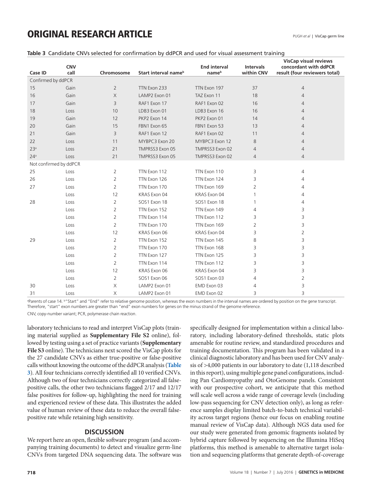## **ORIGINAL RESEARCH ARTICLE**

| <b>Case ID</b>         | <b>CNV</b><br>call | Chromosome     | Start interval name <sup>b</sup> | <b>End interval</b><br>nameb | <b>Intervals</b><br>within CNV | <b>VisCap visual reviews</b><br>concordant with ddPCR<br>result (four reviewers total) |
|------------------------|--------------------|----------------|----------------------------------|------------------------------|--------------------------------|----------------------------------------------------------------------------------------|
| Confirmed by ddPCR     |                    |                |                                  |                              |                                |                                                                                        |
| 15                     | Gain               | $\overline{2}$ | TTN Exon 233                     | TTN Exon 197                 | 37                             | $\overline{4}$                                                                         |
| 16                     | Gain               | $\times$       | LAMP2 Exon 01                    | TAZ Exon 11                  | 18                             | $\overline{4}$                                                                         |
| 17                     | Gain               | 3              | RAF1 Exon 17                     | RAF1 Exon 02                 | 16                             | 4                                                                                      |
| 18                     | Loss               | 10             | LDB3 Exon 01                     | LDB3 Exon 16                 | 16                             | 4                                                                                      |
| 19                     | Gain               | 12             | PKP2 Exon 14                     | PKP2 Exon 01                 | 14                             | 4                                                                                      |
| 20                     | Gain               | 15             | FBN1 Exon 65                     | FBN1 Exon 53                 | 13                             | 4                                                                                      |
| 21                     | Gain               | 3              | RAF1 Exon 12                     | RAF1 Exon 02                 | 11                             | 4                                                                                      |
| 22                     | Loss               | 11             | MYBPC3 Exon 20                   | MYBPC3 Exon 12               | 8                              | $\overline{4}$                                                                         |
| 23 <sup>a</sup>        | Loss               | 21             | TMPRSS3 Exon 05                  | TMPRSS3 Exon 02              | $\overline{4}$                 | $\overline{4}$                                                                         |
| 24 <sup>a</sup>        | Loss               | 21             | TMPRSS3 Exon 05                  | TMPRSS3 Exon 02              | $\overline{4}$                 | $\overline{4}$                                                                         |
| Not confirmed by ddPCR |                    |                |                                  |                              |                                |                                                                                        |
| 25                     | Loss               | $\overline{2}$ | TTN Exon 112                     | TTN Exon 110                 | 3                              | 4                                                                                      |
| 26                     | Loss               | 2              | TTN Exon 126                     | TTN Exon 124                 | 3                              | 4                                                                                      |
| 27                     | Loss               | 2              | TTN Exon 170                     | TTN Exon 169                 | 2                              | 4                                                                                      |
|                        | Loss               | 12             | KRAS Exon 04                     | KRAS Exon 04                 |                                | 4                                                                                      |
| 28                     | Loss               | 2              | SOS1 Exon 18                     | SOS1 Exon 18                 |                                | 4                                                                                      |
|                        | Loss               | $\overline{2}$ | TTN Exon 152                     | TTN Exon 149                 | 4                              | 3                                                                                      |
|                        | Loss               | 2              | TTN Exon 114                     | TTN Exon 112                 | 3                              | 3                                                                                      |
|                        | Loss               | 2              | TTN Exon 170                     | TTN Exon 169                 | $\overline{2}$                 | 3                                                                                      |
|                        | Loss               | 12             | KRAS Exon 06                     | KRAS Exon 04                 | 3                              | 2                                                                                      |
| 29                     | Loss               | 2              | TTN Exon 152                     | TTN Exon 145                 | 8                              | 3                                                                                      |
|                        | Loss               | $\overline{2}$ | TTN Exon 170                     | TTN Exon 168                 | 3                              | 3                                                                                      |
|                        | Loss               | 2              | TTN Exon 127                     | TTN Exon 125                 | 3                              | 3                                                                                      |
|                        | Loss               | $\overline{2}$ | TTN Exon 114                     | TTN Exon 112                 | 3                              | 3                                                                                      |
|                        | Loss               | 12             | KRAS Exon 06                     | KRAS Exon 04                 | 3                              | 3                                                                                      |
|                        | Loss               | $\overline{2}$ | SOS1 Exon 06                     | SOS1 Exon 03                 | 4                              | $\overline{2}$                                                                         |
| 30                     | Loss               | Χ              | LAMP2 Exon 01                    | EMD Exon 03                  | 4                              | 3                                                                                      |
| 31                     | Loss               | $\times$       | LAMP2 Exon 01                    | EMD Exon 02                  | 3                              | 3                                                                                      |

#### <span id="page-7-0"></span>**Table 3** Candidate CNVs selected for confirmation by ddPCR and used for visual assessment training

<sup>a</sup>Parents of case 14. <sup>b</sup> Start" and "End" refer to relative genome position, whereas the exon numbers in the interval names are ordered by position on the gene transcript. Therefore, "start" exon numbers are greater than "end" exon numbers for genes on the minus strand of the genome reference. CNV, copy-number variant; PCR, polymerase chain reaction.

laboratory technicians to read and interpret VisCap plots (training material supplied as **Supplementary File S2** online), followed by testing using a set of practice variants (**Supplementary File S3** online). The technicians next scored the VisCap plots for the 27 candidate CNVs as either true-positive or false-positive calls without knowing the outcome of the ddPCR analysis (**[Table](#page-7-0) [3](#page-7-0)**). All four technicians correctly identified all 10 verified CNVs. Although two of four technicians correctly categorized all falsepositive calls, the other two technicians flagged 2/17 and 12/17 false positives for follow-up, highlighting the need for training and experienced review of these data. This illustrates the added value of human review of these data to reduce the overall falsepositive rate while retaining high sensitivity.

### **DISCUSSION**

We report here an open, flexible software program (and accompanying training documents) to detect and visualize germ-line CNVs from targeted DNA sequencing data. The software was specifically designed for implementation within a clinical laboratory, including laboratory-defined thresholds, static plots amenable for routine review, and standardized procedures and training documentation. This program has been validated in a clinical diagnostic laboratory and has been used for CNV analysis of >4,000 patients in our laboratory to date (1,118 described in this report), using multiple gene panel configurations, including Pan Cardiomyopathy and OtoGenome panels. Consistent with our prospective cohort, we anticipate that this method will scale well across a wide range of coverage levels (including low-pass sequencing for CNV detection only), as long as reference samples display limited batch-to-batch technical variability across target regions (hence our focus on enabling routine manual review of VisCap data). Although NGS data used for our study were generated from genomic fragments isolated by hybrid capture followed by sequencing on the Illumina HiSeq platforms, this method is amenable to alternative target isolation and sequencing platforms that generate depth-of-coverage